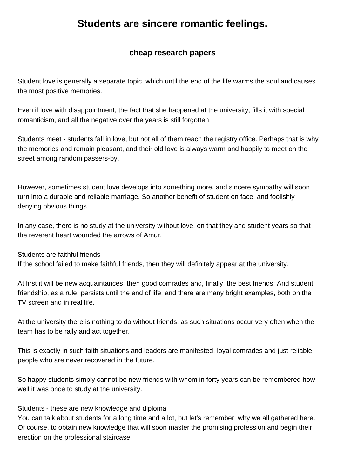## **cheap research papers**

**Students are sincere romantic feelings.**

Student love is generally a separate [topic, which until the end of th](https://www.buyessayscheap.com/research-papers.html)e life warms the soul and causes the most positive memories.

Even if love with disappointment, the fact that she happened at the university, fills it with special romanticism, and all the negative over the years is still forgotten.

Students meet - students fall in love, but not all of them reach the registry office. Perhaps that is why the memories and remain pleasant, and their old love is always warm and happily to meet on the street among random passers-by.

However, sometimes student love develops into something more, and sincere sympathy will soon turn into a durable and reliable marriage. So another benefit of student on face, and foolishly denying obvious things.

In any case, there is no study at the university without love, on that they and student years so that the reverent heart wounded the arrows of Amur.

Students are faithful friends

If the school failed to make faithful friends, then they will definitely appear at the university.

At first it will be new acquaintances, then good comrades and, finally, the best friends; And student friendship, as a rule, persists until the end of life, and there are many bright examples, both on the TV screen and in real life.

At the university there is nothing to do without friends, as such situations occur very often when the team has to be rally and act together.

This is exactly in such faith situations and leaders are manifested, loyal comrades and just reliable people who are never recovered in the future.

So happy students simply cannot be new friends with whom in forty years can be remembered how well it was once to study at the university.

## Students - these are new knowledge and diploma

You can talk about students for a long time and a lot, but let's remember, why we all gathered here. Of course, to obtain new knowledge that will soon master the promising profession and begin their erection on the professional staircase.